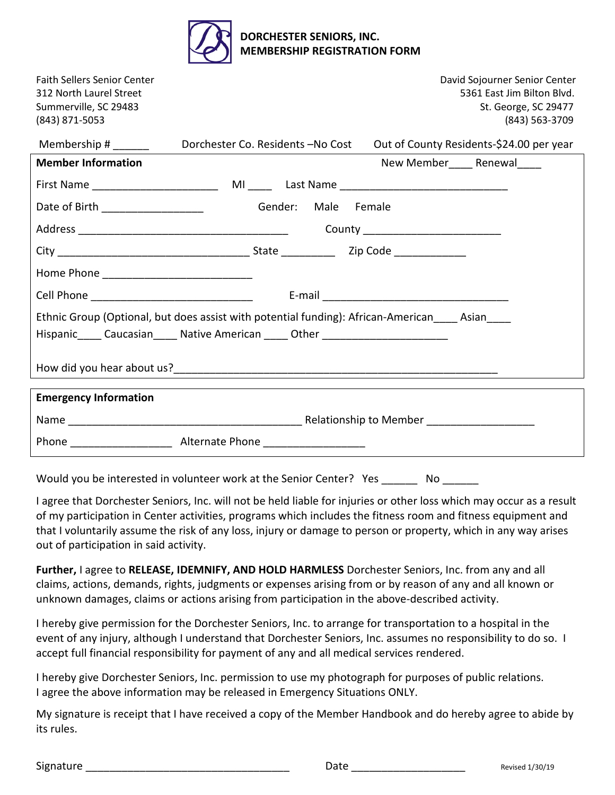

| <b>Faith Sellers Senior Center</b><br>312 North Laurel Street<br>Summerville, SC 29483<br>(843) 871-5053                                                                            |                                   | David Sojourner Senior Center<br>5361 East Jim Bilton Blvd.<br>St. George, SC 29477<br>(843) 563-3709 |  |
|-------------------------------------------------------------------------------------------------------------------------------------------------------------------------------------|-----------------------------------|-------------------------------------------------------------------------------------------------------|--|
| Membership # _______                                                                                                                                                                | Dorchester Co. Residents -No Cost | Out of County Residents-\$24.00 per year                                                              |  |
| <b>Member Information</b>                                                                                                                                                           |                                   | New Member Renewal                                                                                    |  |
|                                                                                                                                                                                     |                                   |                                                                                                       |  |
| Date of Birth ______________________                                                                                                                                                | Gender: Male Female               |                                                                                                       |  |
|                                                                                                                                                                                     |                                   |                                                                                                       |  |
|                                                                                                                                                                                     |                                   |                                                                                                       |  |
|                                                                                                                                                                                     |                                   |                                                                                                       |  |
|                                                                                                                                                                                     |                                   |                                                                                                       |  |
| Ethnic Group (Optional, but does assist with potential funding): African-American____ Asian____<br>Hispanic_____ Caucasian_____ Native American _____ Other _______________________ |                                   |                                                                                                       |  |
|                                                                                                                                                                                     |                                   |                                                                                                       |  |
| <b>Emergency Information</b>                                                                                                                                                        |                                   |                                                                                                       |  |
|                                                                                                                                                                                     |                                   |                                                                                                       |  |
|                                                                                                                                                                                     |                                   |                                                                                                       |  |

Would you be interested in volunteer work at the Senior Center? Yes No

I agree that Dorchester Seniors, Inc. will not be held liable for injuries or other loss which may occur as a result of my participation in Center activities, programs which includes the fitness room and fitness equipment and that I voluntarily assume the risk of any loss, injury or damage to person or property, which in any way arises out of participation in said activity.

**Further,** I agree to **RELEASE, IDEMNIFY, AND HOLD HARMLESS** Dorchester Seniors, Inc. from any and all claims, actions, demands, rights, judgments or expenses arising from or by reason of any and all known or unknown damages, claims or actions arising from participation in the above-described activity.

I hereby give permission for the Dorchester Seniors, Inc. to arrange for transportation to a hospital in the event of any injury, although I understand that Dorchester Seniors, Inc. assumes no responsibility to do so. I accept full financial responsibility for payment of any and all medical services rendered.

I hereby give Dorchester Seniors, Inc. permission to use my photograph for purposes of public relations. I agree the above information may be released in Emergency Situations ONLY.

My signature is receipt that I have received a copy of the Member Handbook and do hereby agree to abide by its rules.